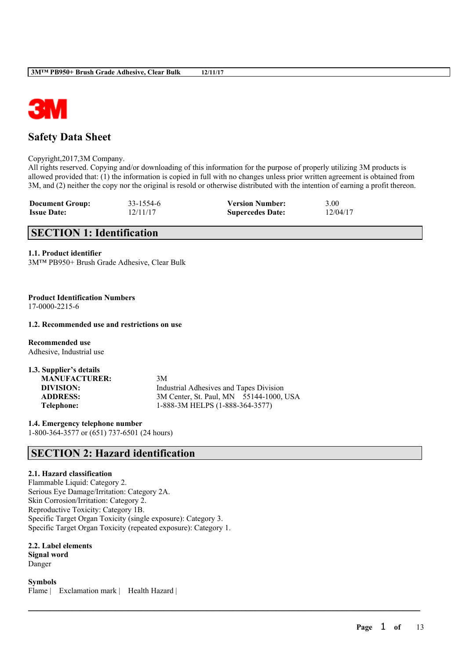

# **Safety Data Sheet**

Copyright,2017,3M Company.

All rights reserved. Copying and/or downloading of this information for the purpose of properly utilizing 3M products is allowed provided that: (1) the information is copied in full with no changes unless prior written agreement is obtained from 3M, and (2) neither the copy nor the original is resold or otherwise distributed with the intention of earning a profit thereon.

 $\mathcal{L}_\mathcal{L} = \mathcal{L}_\mathcal{L} = \mathcal{L}_\mathcal{L} = \mathcal{L}_\mathcal{L} = \mathcal{L}_\mathcal{L} = \mathcal{L}_\mathcal{L} = \mathcal{L}_\mathcal{L} = \mathcal{L}_\mathcal{L} = \mathcal{L}_\mathcal{L} = \mathcal{L}_\mathcal{L} = \mathcal{L}_\mathcal{L} = \mathcal{L}_\mathcal{L} = \mathcal{L}_\mathcal{L} = \mathcal{L}_\mathcal{L} = \mathcal{L}_\mathcal{L} = \mathcal{L}_\mathcal{L} = \mathcal{L}_\mathcal{L}$ 

| <b>Document Group:</b> | 33-1554-6 | <b>Version Number:</b>  | 3.00     |
|------------------------|-----------|-------------------------|----------|
| <b>Issue Date:</b>     | 12/11/17  | <b>Supercedes Date:</b> | 12/04/17 |

# **SECTION 1: Identification**

#### **1.1. Product identifier**

3M™ PB950+ Brush Grade Adhesive, Clear Bulk

**Product Identification Numbers** 17-0000-2215-6

**1.2. Recommended use and restrictions on use**

**Recommended use** Adhesive, Industrial use

| 1.3. Supplier's details |                                                |
|-------------------------|------------------------------------------------|
| <b>MANUFACTURER:</b>    | 3M                                             |
| DIVISION:               | <b>Industrial Adhesives and Tapes Division</b> |
| <b>ADDRESS:</b>         | 3M Center, St. Paul, MN 55144-1000, USA        |
| Telephone:              | 1-888-3M HELPS (1-888-364-3577)                |

**1.4. Emergency telephone number** 1-800-364-3577 or (651) 737-6501 (24 hours)

# **SECTION 2: Hazard identification**

### **2.1. Hazard classification**

Flammable Liquid: Category 2. Serious Eye Damage/Irritation: Category 2A. Skin Corrosion/Irritation: Category 2. Reproductive Toxicity: Category 1B. Specific Target Organ Toxicity (single exposure): Category 3. Specific Target Organ Toxicity (repeated exposure): Category 1.

**2.2. Label elements Signal word** Danger

**Symbols** Flame | Exclamation mark | Health Hazard |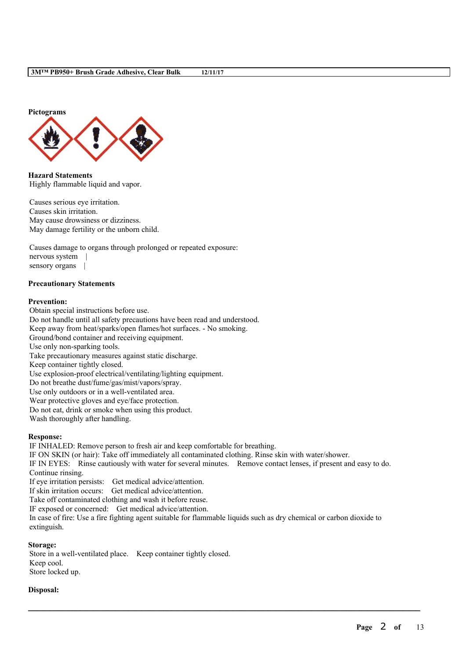

**Hazard Statements** Highly flammable liquid and vapor.

Causes serious eye irritation. Causes skin irritation. May cause drowsiness or dizziness. May damage fertility or the unborn child.

Causes damage to organs through prolonged or repeated exposure: nervous system | sensory organs |

#### **Precautionary Statements**

#### **Prevention:**

Obtain special instructions before use. Do not handle until all safety precautions have been read and understood. Keep away from heat/sparks/open flames/hot surfaces. - No smoking. Ground/bond container and receiving equipment. Use only non-sparking tools. Take precautionary measures against static discharge. Keep container tightly closed. Use explosion-proof electrical/ventilating/lighting equipment. Do not breathe dust/fume/gas/mist/vapors/spray. Use only outdoors or in a well-ventilated area. Wear protective gloves and eye/face protection. Do not eat, drink or smoke when using this product. Wash thoroughly after handling.

#### **Response:**

IF INHALED: Remove person to fresh air and keep comfortable for breathing. IF ON SKIN (or hair): Take off immediately all contaminated clothing. Rinse skin with water/shower. IF IN EYES: Rinse cautiously with water for several minutes. Remove contact lenses, if present and easy to do. Continue rinsing. If eye irritation persists: Get medical advice/attention. If skin irritation occurs: Get medical advice/attention.

Take off contaminated clothing and wash it before reuse.

IF exposed or concerned: Get medical advice/attention.

In case of fire: Use a fire fighting agent suitable for flammable liquids such as dry chemical or carbon dioxide to extinguish.

 $\mathcal{L}_\mathcal{L} = \mathcal{L}_\mathcal{L} = \mathcal{L}_\mathcal{L} = \mathcal{L}_\mathcal{L} = \mathcal{L}_\mathcal{L} = \mathcal{L}_\mathcal{L} = \mathcal{L}_\mathcal{L} = \mathcal{L}_\mathcal{L} = \mathcal{L}_\mathcal{L} = \mathcal{L}_\mathcal{L} = \mathcal{L}_\mathcal{L} = \mathcal{L}_\mathcal{L} = \mathcal{L}_\mathcal{L} = \mathcal{L}_\mathcal{L} = \mathcal{L}_\mathcal{L} = \mathcal{L}_\mathcal{L} = \mathcal{L}_\mathcal{L}$ 

#### **Storage:**

Store in a well-ventilated place. Keep container tightly closed. Keep cool. Store locked up.

### **Disposal:**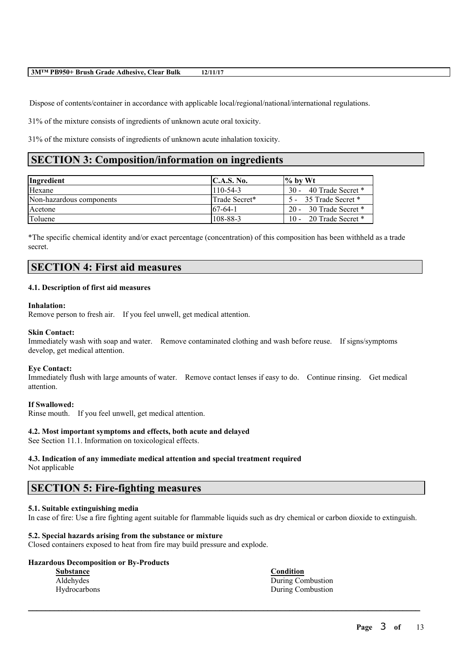Dispose of contents/container in accordance with applicable local/regional/national/international regulations.

31% of the mixture consists of ingredients of unknown acute oral toxicity.

31% of the mixture consists of ingredients of unknown acute inhalation toxicity.

# **SECTION 3: Composition/information on ingredients**

| Ingredient               | C.A.S. No.     | $\%$ by Wt             |
|--------------------------|----------------|------------------------|
| Hexane                   | $110 - 54 - 3$ | 30 - 40 Trade Secret * |
| Non-hazardous components | Trade Secret*  | 5 - 35 Trade Secret *  |
| Acetone                  | $67-64-1$      | 20 - 30 Trade Secret * |
| Toluene                  | 108-88-3       | 10 - 20 Trade Secret * |

\*The specific chemical identity and/or exact percentage (concentration) of this composition has been withheld as a trade secret.

## **SECTION 4: First aid measures**

### **4.1. Description of first aid measures**

#### **Inhalation:**

Remove person to fresh air. If you feel unwell, get medical attention.

### **Skin Contact:**

Immediately wash with soap and water. Remove contaminated clothing and wash before reuse. If signs/symptoms develop, get medical attention.

#### **Eye Contact:**

Immediately flush with large amounts of water. Remove contact lenses if easy to do. Continue rinsing. Get medical attention.

#### **If Swallowed:**

Rinse mouth. If you feel unwell, get medical attention.

### **4.2. Most important symptoms and effects, both acute and delayed**

See Section 11.1. Information on toxicological effects.

## **4.3. Indication of any immediate medical attention and special treatment required**

Not applicable

## **SECTION 5: Fire-fighting measures**

### **5.1. Suitable extinguishing media**

In case of fire: Use a fire fighting agent suitable for flammable liquids such as dry chemical or carbon dioxide to extinguish.

 $\mathcal{L}_\mathcal{L} = \mathcal{L}_\mathcal{L} = \mathcal{L}_\mathcal{L} = \mathcal{L}_\mathcal{L} = \mathcal{L}_\mathcal{L} = \mathcal{L}_\mathcal{L} = \mathcal{L}_\mathcal{L} = \mathcal{L}_\mathcal{L} = \mathcal{L}_\mathcal{L} = \mathcal{L}_\mathcal{L} = \mathcal{L}_\mathcal{L} = \mathcal{L}_\mathcal{L} = \mathcal{L}_\mathcal{L} = \mathcal{L}_\mathcal{L} = \mathcal{L}_\mathcal{L} = \mathcal{L}_\mathcal{L} = \mathcal{L}_\mathcal{L}$ 

## **5.2. Special hazards arising from the substance or mixture**

Closed containers exposed to heat from fire may build pressure and explode.

### **Hazardous Decomposition or By-Products**

| Substance    | <b>Condition</b>  |
|--------------|-------------------|
| Aldehydes    | During Combustion |
| Hydrocarbons | During Combustion |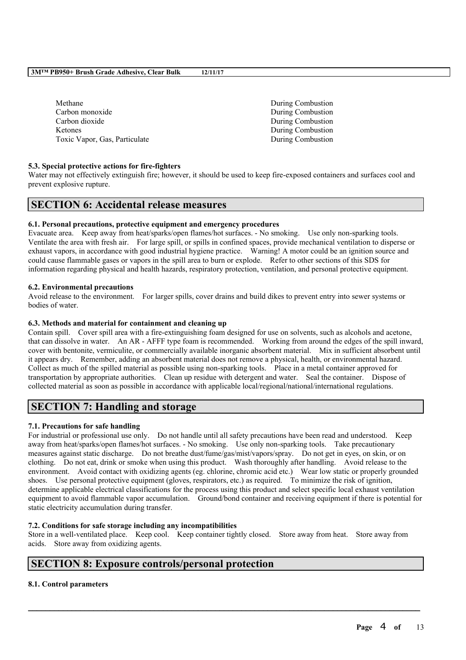| Methane                       | During Combustion |
|-------------------------------|-------------------|
| Carbon monoxide               | During Combustion |
| Carbon dioxide                | During Combustion |
| <b>Ketones</b>                | During Combustion |
| Toxic Vapor, Gas, Particulate | During Combustion |
|                               |                   |

## **5.3. Special protective actions for fire-fighters**

Water may not effectively extinguish fire; however, it should be used to keep fire-exposed containers and surfaces cool and prevent explosive rupture.

## **SECTION 6: Accidental release measures**

### **6.1. Personal precautions, protective equipment and emergency procedures**

Evacuate area. Keep away from heat/sparks/open flames/hot surfaces. - No smoking. Use only non-sparking tools. Ventilate the area with fresh air. For large spill, or spills in confined spaces, provide mechanical ventilation to disperse or exhaust vapors, in accordance with good industrial hygiene practice. Warning! A motor could be an ignition source and could cause flammable gases or vapors in the spill area to burn or explode. Refer to other sections of this SDS for information regarding physical and health hazards, respiratory protection, ventilation, and personal protective equipment.

### **6.2. Environmental precautions**

Avoid release to the environment. For larger spills, cover drains and build dikes to prevent entry into sewer systems or bodies of water.

### **6.3. Methods and material for containment and cleaning up**

Contain spill. Cover spill area with a fire-extinguishing foam designed for use on solvents, such as alcohols and acetone, that can dissolve in water. An AR - AFFF type foam is recommended. Working from around the edges of the spill inward, cover with bentonite, vermiculite, or commercially available inorganic absorbent material. Mix in sufficient absorbent until it appears dry. Remember, adding an absorbent material does not remove a physical, health, or environmental hazard. Collect as much of the spilled material as possible using non-sparking tools. Place in a metal container approved for transportation by appropriate authorities. Clean up residue with detergent and water. Seal the container. Dispose of collected material as soon as possible in accordance with applicable local/regional/national/international regulations.

# **SECTION 7: Handling and storage**

## **7.1. Precautions for safe handling**

For industrial or professional use only. Do not handle until all safety precautions have been read and understood. Keep away from heat/sparks/open flames/hot surfaces. - No smoking. Use only non-sparking tools. Take precautionary measures against static discharge. Do not breathe dust/fume/gas/mist/vapors/spray. Do not get in eyes, on skin, or on clothing. Do not eat, drink or smoke when using this product. Wash thoroughly after handling. Avoid release to the environment. Avoid contact with oxidizing agents (eg. chlorine, chromic acid etc.) Wear low static or properly grounded shoes. Use personal protective equipment (gloves, respirators, etc.) as required. To minimize the risk of ignition, determine applicable electrical classifications for the process using this product and select specific local exhaust ventilation equipment to avoid flammable vapor accumulation. Ground/bond container and receiving equipment if there is potential for static electricity accumulation during transfer.

### **7.2. Conditions for safe storage including any incompatibilities**

Store in a well-ventilated place. Keep cool. Keep container tightly closed. Store away from heat. Store away from acids. Store away from oxidizing agents.

 $\mathcal{L}_\mathcal{L} = \mathcal{L}_\mathcal{L} = \mathcal{L}_\mathcal{L} = \mathcal{L}_\mathcal{L} = \mathcal{L}_\mathcal{L} = \mathcal{L}_\mathcal{L} = \mathcal{L}_\mathcal{L} = \mathcal{L}_\mathcal{L} = \mathcal{L}_\mathcal{L} = \mathcal{L}_\mathcal{L} = \mathcal{L}_\mathcal{L} = \mathcal{L}_\mathcal{L} = \mathcal{L}_\mathcal{L} = \mathcal{L}_\mathcal{L} = \mathcal{L}_\mathcal{L} = \mathcal{L}_\mathcal{L} = \mathcal{L}_\mathcal{L}$ 

## **SECTION 8: Exposure controls/personal protection**

### **8.1. Control parameters**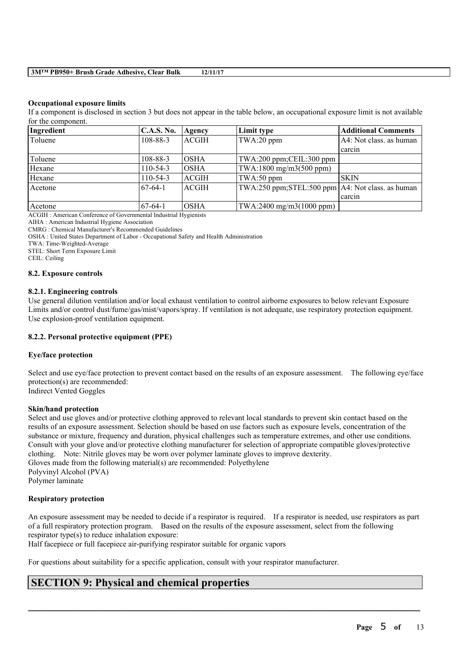#### **Occupational exposure limits**

If a component is disclosed in section 3 but does not appear in the table below, an occupational exposure limit is not available for the component.

| Ingredient | C.A.S. No.     | Agency       | Limit type                                         | <b>Additional Comments</b> |
|------------|----------------|--------------|----------------------------------------------------|----------------------------|
| Toluene    | 108-88-3       | <b>ACGIH</b> | TWA:20 ppm                                         | A4: Not class. as human    |
|            |                |              |                                                    | carcin                     |
| Toluene    | $108 - 88 - 3$ | IOSHA        | TWA:200 ppm;CEIL:300 ppm                           |                            |
| Hexane     | $110-54-3$     | <b>OSHA</b>  | TWA:1800 mg/m3(500 ppm)                            |                            |
| Hexane     | $110-54-3$     | <b>ACGIH</b> | $TWA:50$ ppm                                       | <b>SKIN</b>                |
| Acetone    | 67-64-1        | <b>ACGIH</b> | TWA:250 ppm;STEL:500 ppm   A4: Not class. as human |                            |
|            |                |              |                                                    | carcin                     |
| Acetone    | 167-64-1       | <b>OSHA</b>  | TWA:2400 mg/m3(1000 ppm)                           |                            |

ACGIH : American Conference of Governmental Industrial Hygienists

AIHA : American Industrial Hygiene Association

CMRG : Chemical Manufacturer's Recommended Guidelines

OSHA : United States Department of Labor - Occupational Safety and Health Administration

TWA: Time-Weighted-Average

STEL: Short Term Exposure Limit

CEIL: Ceiling

#### **8.2. Exposure controls**

#### **8.2.1. Engineering controls**

Use general dilution ventilation and/or local exhaust ventilation to control airborne exposures to below relevant Exposure Limits and/or control dust/fume/gas/mist/vapors/spray. If ventilation is not adequate, use respiratory protection equipment. Use explosion-proof ventilation equipment.

### **8.2.2. Personal protective equipment (PPE)**

### **Eye/face protection**

Select and use eye/face protection to prevent contact based on the results of an exposure assessment. The following eye/face protection(s) are recommended: Indirect Vented Goggles

#### **Skin/hand protection**

Select and use gloves and/or protective clothing approved to relevant local standards to prevent skin contact based on the results of an exposure assessment. Selection should be based on use factors such as exposure levels, concentration of the substance or mixture, frequency and duration, physical challenges such as temperature extremes, and other use conditions. Consult with your glove and/or protective clothing manufacturer for selection of appropriate compatible gloves/protective clothing. Note: Nitrile gloves may be worn over polymer laminate gloves to improve dexterity. Gloves made from the following material(s) are recommended: Polyethylene Polyvinyl Alcohol (PVA) Polymer laminate

### **Respiratory protection**

An exposure assessment may be needed to decide if a respirator is required. If a respirator is needed, use respirators as part of a full respiratory protection program. Based on the results of the exposure assessment, select from the following respirator type(s) to reduce inhalation exposure:

 $\mathcal{L}_\mathcal{L} = \mathcal{L}_\mathcal{L} = \mathcal{L}_\mathcal{L} = \mathcal{L}_\mathcal{L} = \mathcal{L}_\mathcal{L} = \mathcal{L}_\mathcal{L} = \mathcal{L}_\mathcal{L} = \mathcal{L}_\mathcal{L} = \mathcal{L}_\mathcal{L} = \mathcal{L}_\mathcal{L} = \mathcal{L}_\mathcal{L} = \mathcal{L}_\mathcal{L} = \mathcal{L}_\mathcal{L} = \mathcal{L}_\mathcal{L} = \mathcal{L}_\mathcal{L} = \mathcal{L}_\mathcal{L} = \mathcal{L}_\mathcal{L}$ 

Half facepiece or full facepiece air-purifying respirator suitable for organic vapors

For questions about suitability for a specific application, consult with your respirator manufacturer.

## **SECTION 9: Physical and chemical properties**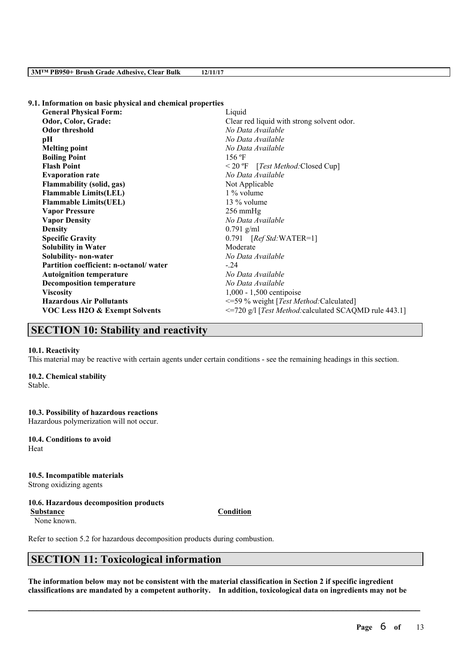**9.1. Information on basic physical and chemical properties**

| <b>General Physical Form:</b>          | Liquid                                                |
|----------------------------------------|-------------------------------------------------------|
| Odor, Color, Grade:                    | Clear red liquid with strong solvent odor.            |
| <b>Odor threshold</b>                  | No Data Available                                     |
| pН                                     | No Data Available                                     |
| <b>Melting point</b>                   | No Data Available                                     |
| <b>Boiling Point</b>                   | 156 °F                                                |
| <b>Flash Point</b>                     | $\leq$ 20 °F [Test Method: Closed Cup]                |
| <b>Evaporation rate</b>                | No Data Available                                     |
| <b>Flammability (solid, gas)</b>       | Not Applicable                                        |
| <b>Flammable Limits(LEL)</b>           | 1 % volume                                            |
| <b>Flammable Limits(UEL)</b>           | $13\%$ volume                                         |
| <b>Vapor Pressure</b>                  | $256 \text{ mmHg}$                                    |
| <b>Vapor Density</b>                   | No Data Available                                     |
| <b>Density</b>                         | $0.791$ g/ml                                          |
| <b>Specific Gravity</b>                | $0.791$ [Ref Std: WATER=1]                            |
| <b>Solubility in Water</b>             | Moderate                                              |
| Solubility- non-water                  | No Data Available                                     |
| Partition coefficient: n-octanol/water | $-24$                                                 |
| <b>Autoignition temperature</b>        | No Data Available                                     |
| <b>Decomposition temperature</b>       | No Data Available                                     |
| <b>Viscosity</b>                       | $1,000 - 1,500$ centipoise                            |
| <b>Hazardous Air Pollutants</b>        | <=59 % weight [Test Method: Calculated]               |
| VOC Less H2O & Exempt Solvents         | <=720 g/l [Test Method: calculated SCAQMD rule 443.1] |
|                                        |                                                       |

## **SECTION 10: Stability and reactivity**

#### **10.1. Reactivity**

This material may be reactive with certain agents under certain conditions - see the remaining headings in this section.

### **10.2. Chemical stability**

Stable.

## **10.3. Possibility of hazardous reactions**

Hazardous polymerization will not occur.

**10.4. Conditions to avoid** Heat

# **10.5. Incompatible materials**

Strong oxidizing agents

## **10.6. Hazardous decomposition products**

**Substance Condition**

None known.

Refer to section 5.2 for hazardous decomposition products during combustion.

## **SECTION 11: Toxicological information**

The information below may not be consistent with the material classification in Section 2 if specific ingredient **classifications are mandated by a competent authority. In addition, toxicological data on ingredients may not be**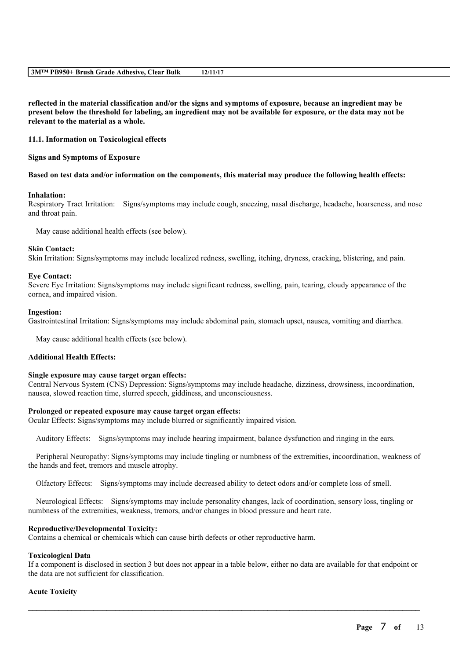reflected in the material classification and/or the signs and symptoms of exposure, because an ingredient may be present below the threshold for labeling, an ingredient may not be available for exposure, or the data may not be **relevant to the material as a whole.**

#### **11.1. Information on Toxicological effects**

#### **Signs and Symptoms of Exposure**

#### Based on test data and/or information on the components, this material may produce the following health effects:

#### **Inhalation:**

Respiratory Tract Irritation: Signs/symptoms may include cough, sneezing, nasal discharge, headache, hoarseness, and nose and throat pain.

May cause additional health effects (see below).

#### **Skin Contact:**

Skin Irritation: Signs/symptoms may include localized redness, swelling, itching, dryness, cracking, blistering, and pain.

#### **Eye Contact:**

Severe Eye Irritation: Signs/symptoms may include significant redness, swelling, pain, tearing, cloudy appearance of the cornea, and impaired vision.

#### **Ingestion:**

Gastrointestinal Irritation: Signs/symptoms may include abdominal pain, stomach upset, nausea, vomiting and diarrhea.

May cause additional health effects (see below).

### **Additional Health Effects:**

#### **Single exposure may cause target organ effects:**

Central Nervous System (CNS) Depression: Signs/symptoms may include headache, dizziness, drowsiness, incoordination, nausea, slowed reaction time, slurred speech, giddiness, and unconsciousness.

### **Prolonged or repeated exposure may cause target organ effects:**

Ocular Effects: Signs/symptoms may include blurred or significantly impaired vision.

Auditory Effects: Signs/symptoms may include hearing impairment, balance dysfunction and ringing in the ears.

Peripheral Neuropathy: Signs/symptoms may include tingling or numbness of the extremities, incoordination, weakness of the hands and feet, tremors and muscle atrophy.

Olfactory Effects: Signs/symptoms may include decreased ability to detect odors and/or complete loss of smell.

Neurological Effects: Signs/symptoms may include personality changes, lack of coordination, sensory loss, tingling or numbness of the extremities, weakness, tremors, and/or changes in blood pressure and heart rate.

### **Reproductive/Developmental Toxicity:**

Contains a chemical or chemicals which can cause birth defects or other reproductive harm.

### **Toxicological Data**

If a component is disclosed in section 3 but does not appear in a table below, either no data are available for that endpoint or the data are not sufficient for classification.

 $\mathcal{L}_\mathcal{L} = \mathcal{L}_\mathcal{L} = \mathcal{L}_\mathcal{L} = \mathcal{L}_\mathcal{L} = \mathcal{L}_\mathcal{L} = \mathcal{L}_\mathcal{L} = \mathcal{L}_\mathcal{L} = \mathcal{L}_\mathcal{L} = \mathcal{L}_\mathcal{L} = \mathcal{L}_\mathcal{L} = \mathcal{L}_\mathcal{L} = \mathcal{L}_\mathcal{L} = \mathcal{L}_\mathcal{L} = \mathcal{L}_\mathcal{L} = \mathcal{L}_\mathcal{L} = \mathcal{L}_\mathcal{L} = \mathcal{L}_\mathcal{L}$ 

### **Acute Toxicity**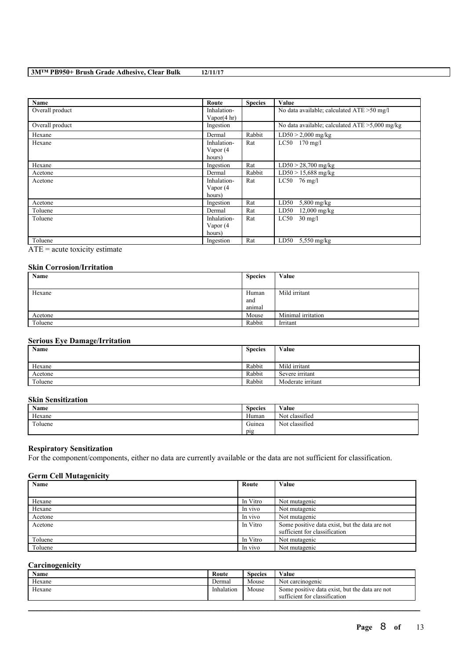| Name            | Route       | <b>Species</b> | Value                                             |
|-----------------|-------------|----------------|---------------------------------------------------|
| Overall product | Inhalation- |                | No data available; calculated ATE > 50 mg/l       |
|                 | Vapor(4 hr) |                |                                                   |
| Overall product | Ingestion   |                | No data available; calculated $ATE > 5,000$ mg/kg |
| Hexane          | Dermal      | Rabbit         | $LD50 > 2,000$ mg/kg                              |
| Hexane          | Inhalation- | Rat            | $LC50$ 170 mg/l                                   |
|                 | Vapor (4    |                |                                                   |
|                 | hours)      |                |                                                   |
| Hexane          | Ingestion   | Rat            | $LD50 > 28,700$ mg/kg                             |
| Acetone         | Dermal      | Rabbit         | $LD50 > 15,688$ mg/kg                             |
| Acetone         | Inhalation- | Rat            | LC50<br>76 mg/l                                   |
|                 | Vapor (4    |                |                                                   |
|                 | hours)      |                |                                                   |
| Acetone         | Ingestion   | Rat            | LD50<br>$5,800$ mg/kg                             |
| Toluene         | Dermal      | Rat            | LD50<br>$12,000 \,\mathrm{mg/kg}$                 |
| Toluene         | Inhalation- | Rat            | LC50<br>$30 \text{ mg/l}$                         |
|                 | Vapor (4    |                |                                                   |
|                 | hours)      |                |                                                   |
| Toluene         | Ingestion   | Rat            | $5,550$ mg/kg<br>LD50                             |

ATE = acute toxicity estimate

## **Skin Corrosion/Irritation**

| Name    | <b>Species</b> | Value              |
|---------|----------------|--------------------|
|         |                |                    |
| Hexane  | Human          | Mild irritant      |
|         | and            |                    |
|         | animal         |                    |
| Acetone | Mouse          | Minimal irritation |
| Toluene | Rabbit         | Irritant           |

### **Serious Eye Damage/Irritation**

| Name    | <b>Species</b> | Value             |
|---------|----------------|-------------------|
|         |                |                   |
| Hexane  | Rabbit         | Mild irritant     |
| Acetone | Rabbit         | Severe irritant   |
| Toluene | Rabbit         | Moderate irritant |

## **Skin Sensitization**

| <b>Name</b> | <b>Species</b> | Value          |
|-------------|----------------|----------------|
| Hexane      | Human          | Not classified |
| Toluene     | Guinea         | Not classified |
|             | pig            |                |

## **Respiratory Sensitization**

For the component/components, either no data are currently available or the data are not sufficient for classification.

## **Germ Cell Mutagenicity**

| Name    | Route    | Value                                                                           |
|---------|----------|---------------------------------------------------------------------------------|
|         |          |                                                                                 |
| Hexane  | In Vitro | Not mutagenic                                                                   |
| Hexane  | In vivo  | Not mutagenic                                                                   |
| Acetone | In vivo  | Not mutagenic                                                                   |
| Acetone | In Vitro | Some positive data exist, but the data are not<br>sufficient for classification |
| Toluene | In Vitro | Not mutagenic                                                                   |
| Toluene | In vivo  | Not mutagenic                                                                   |

### **Carcinogenicity**

| Name   | Route      | <b>Species</b> | Value                                                                           |
|--------|------------|----------------|---------------------------------------------------------------------------------|
| Hexane | Dermal     | Mouse          | Not carcinogenic                                                                |
| Hexane | Inhalation | Mouse          | Some positive data exist, but the data are not<br>sufficient for classification |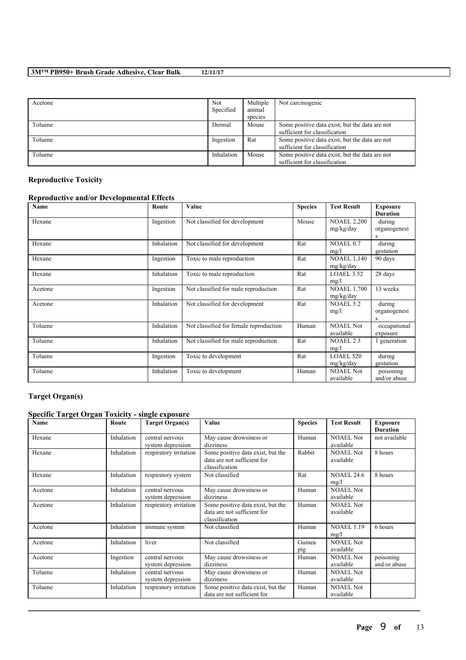| Acetone | Not        | Multiple | Not carcinogenic                               |
|---------|------------|----------|------------------------------------------------|
|         | Specified  | animal   |                                                |
|         |            | species  |                                                |
| Toluene | Dermal     | Mouse    | Some positive data exist, but the data are not |
|         |            |          | sufficient for classification                  |
| Toluene | Ingestion  | Rat      | Some positive data exist, but the data are not |
|         |            |          | sufficient for classification                  |
| Toluene | Inhalation | Mouse    | Some positive data exist, but the data are not |
|         |            |          | sufficient for classification                  |

## **Reproductive Toxicity**

## **Reproductive and/or Developmental Effects**

| Name    | Route      | Value                                  | <b>Species</b> | <b>Test Result</b>              | <b>Exposure</b><br><b>Duration</b> |
|---------|------------|----------------------------------------|----------------|---------------------------------|------------------------------------|
| Hexane  | Ingestion  | Not classified for development         | Mouse          | <b>NOAEL 2,200</b><br>mg/kg/day | during<br>organogenesi<br>S        |
| Hexane  | Inhalation | Not classified for development         | Rat            | NOAEL 0.7<br>mg/l               | during<br>gestation                |
| Hexane  | Ingestion  | Toxic to male reproduction             | Rat            | <b>NOAEL 1,140</b><br>mg/kg/day | 90 days                            |
| Hexane  | Inhalation | Toxic to male reproduction             | Rat            | LOAEL 3.52<br>mg/l              | 28 days                            |
| Acetone | Ingestion  | Not classified for male reproduction   | Rat            | <b>NOAEL 1,700</b><br>mg/kg/day | 13 weeks                           |
| Acetone | Inhalation | Not classified for development         | Rat            | <b>NOAEL 5.2</b><br>mg/l        | during<br>organogenesi<br>S        |
| Toluene | Inhalation | Not classified for female reproduction | Human          | <b>NOAEL Not</b><br>available   | occupational<br>exposure           |
| Toluene | Inhalation | Not classified for male reproduction   | Rat            | <b>NOAEL 2.3</b><br>mg/l        | 1 generation                       |
| Toluene | Ingestion  | Toxic to development                   | Rat            | <b>LOAEL 520</b><br>mg/kg/day   | during<br>gestation                |
| Toluene | Inhalation | Toxic to development                   | Human          | <b>NOAEL Not</b><br>available   | poisoning<br>and/or abuse          |

# **Target Organ(s)**

## **Specific Target Organ Toxicity - single exposure**

| Name    | Route      | <b>Target Organ(s)</b>               | Value                                                                              | <b>Species</b> | <b>Test Result</b>            | <b>Exposure</b><br><b>Duration</b> |
|---------|------------|--------------------------------------|------------------------------------------------------------------------------------|----------------|-------------------------------|------------------------------------|
| Hexane  | Inhalation | central nervous<br>system depression | May cause drowsiness or<br>dizziness                                               | Human          | <b>NOAEL Not</b><br>available | not available                      |
| Hexane  | Inhalation | respiratory irritation               | Some positive data exist, but the<br>data are not sufficient for<br>classification | Rabbit         | <b>NOAEL Not</b><br>available | 8 hours                            |
| Hexane  | Inhalation | respiratory system                   | Not classified                                                                     | Rat            | <b>NOAEL 24.6</b><br>mg/l     | 8 hours                            |
| Acetone | Inhalation | central nervous<br>system depression | May cause drowsiness or<br>dizziness                                               | Human          | <b>NOAEL Not</b><br>available |                                    |
| Acetone | Inhalation | respiratory irritation               | Some positive data exist, but the<br>data are not sufficient for<br>classification | Human          | <b>NOAEL Not</b><br>available |                                    |
| Acetone | Inhalation | immune system                        | Not classified                                                                     | Human          | <b>NOAEL 1.19</b><br>mg/l     | 6 hours                            |
| Acetone | Inhalation | liver                                | Not classified                                                                     | Guinea<br>pig  | <b>NOAEL Not</b><br>available |                                    |
| Acetone | Ingestion  | central nervous<br>system depression | May cause drowsiness or<br>dizziness                                               | Human          | <b>NOAEL Not</b><br>available | poisoning<br>and/or abuse          |
| Toluene | Inhalation | central nervous<br>system depression | May cause drowsiness or<br>dizziness                                               | Human          | <b>NOAEL Not</b><br>available |                                    |
| Toluene | Inhalation | respiratory irritation               | Some positive data exist, but the<br>data are not sufficient for                   | Human          | <b>NOAEL Not</b><br>available |                                    |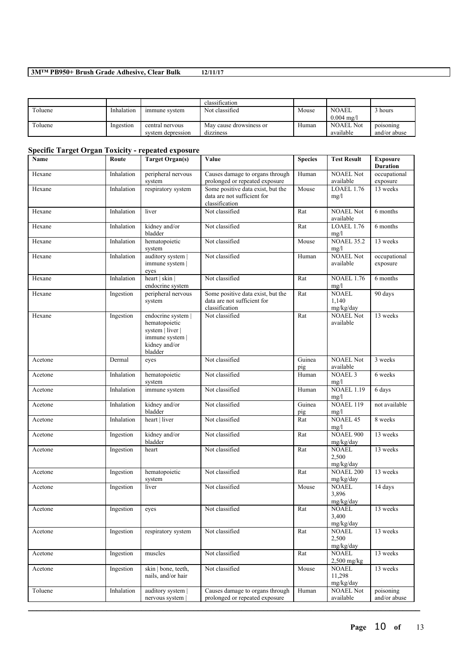|         |            |                   | classification          |       |                       |              |
|---------|------------|-------------------|-------------------------|-------|-----------------------|--------------|
| Toluene | Inhalation | immune system     | Not classified          | Mouse | <b>NOAEL</b>          | hours ا      |
|         |            |                   |                         |       | $0.004 \text{ m}$ g/l |              |
| Toluene | Ingestion  | central nervous   | May cause drowsiness or | Human | <b>NOAEL Not</b>      | poisoning    |
|         |            | system depression | dizziness               |       | available             | and/or abuse |

## **Specific Target Organ Toxicity - repeated exposure**

| Name    | Route      | <b>Target Organ(s)</b>                                                                                 | Value                                                                              | <b>Species</b> | <b>Test Result</b>                  | <b>Exposure</b><br><b>Duration</b> |
|---------|------------|--------------------------------------------------------------------------------------------------------|------------------------------------------------------------------------------------|----------------|-------------------------------------|------------------------------------|
| Hexane  | Inhalation | peripheral nervous<br>system                                                                           | Causes damage to organs through<br>prolonged or repeated exposure                  | Human          | <b>NOAEL Not</b><br>available       | occupational<br>exposure           |
| Hexane  | Inhalation | respiratory system                                                                                     | Some positive data exist, but the<br>data are not sufficient for<br>classification | Mouse          | LOAEL 1.76<br>mg/l                  | 13 weeks                           |
| Hexane  | Inhalation | liver                                                                                                  | Not classified                                                                     | Rat            | <b>NOAEL Not</b><br>available       | 6 months                           |
| Hexane  | Inhalation | kidney and/or<br>bladder                                                                               | Not classified                                                                     | Rat            | <b>LOAEL 1.76</b><br>mg/l           | 6 months                           |
| Hexane  | Inhalation | hematopoietic<br>system                                                                                | Not classified                                                                     | Mouse          | <b>NOAEL 35.2</b><br>mg/l           | 13 weeks                           |
| Hexane  | Inhalation | auditory system  <br>immune system  <br>eyes                                                           | Not classified                                                                     | Human          | <b>NOAEL Not</b><br>available       | occupational<br>exposure           |
| Hexane  | Inhalation | heart   skin  <br>endocrine system                                                                     | Not classified                                                                     | Rat            | <b>NOAEL 1.76</b><br>mg/l           | 6 months                           |
| Hexane  | Ingestion  | peripheral nervous<br>system                                                                           | Some positive data exist, but the<br>data are not sufficient for<br>classification | Rat            | <b>NOAEL</b><br>1,140<br>mg/kg/day  | 90 days                            |
| Hexane  | Ingestion  | endocrine system  <br>hematopoietic<br>system   liver  <br>immune system  <br>kidney and/or<br>bladder | Not classified                                                                     | Rat            | <b>NOAEL Not</b><br>available       | 13 weeks                           |
| Acetone | Dermal     | eyes                                                                                                   | Not classified                                                                     | Guinea<br>pig  | <b>NOAEL Not</b><br>available       | 3 weeks                            |
| Acetone | Inhalation | hematopoietic<br>system                                                                                | Not classified                                                                     | Human          | <b>NOAEL 3</b><br>mg/l              | 6 weeks                            |
| Acetone | Inhalation | immune system                                                                                          | Not classified                                                                     | Human          | <b>NOAEL 1.19</b><br>mg/l           | 6 days                             |
| Acetone | Inhalation | kidney and/or<br>bladder                                                                               | Not classified                                                                     | Guinea<br>pig  | NOAEL 119<br>mg/l                   | not available                      |
| Acetone | Inhalation | heart   liver                                                                                          | Not classified                                                                     | Rat            | <b>NOAEL 45</b><br>mg/l             | 8 weeks                            |
| Acetone | Ingestion  | kidney and/or<br>bladder                                                                               | Not classified                                                                     | Rat            | <b>NOAEL 900</b><br>mg/kg/day       | 13 weeks                           |
| Acetone | Ingestion  | heart                                                                                                  | Not classified                                                                     | Rat            | <b>NOAEL</b><br>2,500<br>mg/kg/day  | 13 weeks                           |
| Acetone | Ingestion  | hematopoietic<br>system                                                                                | Not classified                                                                     | Rat            | <b>NOAEL 200</b><br>mg/kg/day       | 13 weeks                           |
| Acetone | Ingestion  | liver                                                                                                  | Not classified                                                                     | Mouse          | <b>NOAEL</b><br>3,896<br>mg/kg/day  | 14 days                            |
| Acetone | Ingestion  | eyes                                                                                                   | Not classified                                                                     | Rat            | <b>NOAEL</b><br>3,400<br>mg/kg/day  | 13 weeks                           |
| Acetone | Ingestion  | respiratory system                                                                                     | Not classified                                                                     | Rat            | <b>NOAEL</b><br>2,500<br>mg/kg/day  | 13 weeks                           |
| Acetone | Ingestion  | muscles                                                                                                | Not classified                                                                     | Rat            | <b>NOAEL</b><br>2,500 mg/kg         | 13 weeks                           |
| Acetone | Ingestion  | skin   bone, teeth,<br>nails, and/or hair                                                              | Not classified                                                                     | Mouse          | <b>NOAEL</b><br>11,298<br>mg/kg/day | 13 weeks                           |
| Toluene | Inhalation | auditory system  <br>nervous system                                                                    | Causes damage to organs through<br>prolonged or repeated exposure                  | Human          | NOAEL Not<br>available              | poisoning<br>and/or abuse          |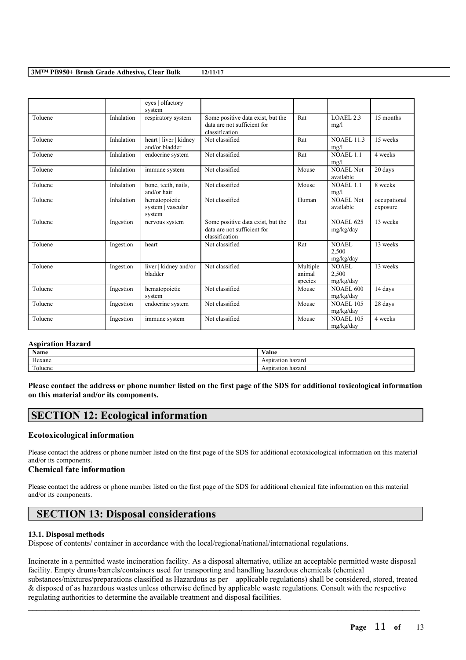|         |            | eyes   olfactory<br>system                   |                                                                                    |                               |                               |                          |
|---------|------------|----------------------------------------------|------------------------------------------------------------------------------------|-------------------------------|-------------------------------|--------------------------|
| Toluene | Inhalation | respiratory system                           | Some positive data exist, but the<br>data are not sufficient for<br>classification | Rat                           | LOAEL <sub>2.3</sub><br>mg/l  | 15 months                |
| Toluene | Inhalation | heart   liver   kidney<br>and/or bladder     | Not classified                                                                     | Rat                           | <b>NOAEL 11.3</b><br>mg/l     | 15 weeks                 |
| Toluene | Inhalation | endocrine system                             | Not classified                                                                     | Rat                           | NOAEL <sub>1.1</sub><br>mg/l  | 4 weeks                  |
| Toluene | Inhalation | immune system                                | Not classified                                                                     | Mouse                         | <b>NOAEL Not</b><br>available | 20 days                  |
| Toluene | Inhalation | bone, teeth, nails,<br>and/or hair           | Not classified                                                                     | Mouse                         | NOAEL 1.1<br>mg/l             | 8 weeks                  |
| Toluene | Inhalation | hematopoietic<br>system   vascular<br>system | Not classified                                                                     | Human                         | NOAEL Not<br>available        | occupational<br>exposure |
| Toluene | Ingestion  | nervous system                               | Some positive data exist, but the<br>data are not sufficient for<br>classification | Rat                           | <b>NOAEL 625</b><br>mg/kg/day | 13 weeks                 |
| Toluene | Ingestion  | heart                                        | Not classified                                                                     | Rat                           | NOAEL<br>2,500<br>mg/kg/day   | 13 weeks                 |
| Toluene | Ingestion  | liver   kidney and/or<br>bladder             | Not classified                                                                     | Multiple<br>animal<br>species | NOAEL<br>2,500<br>mg/kg/day   | 13 weeks                 |
| Toluene | Ingestion  | hematopoietic<br>system                      | Not classified                                                                     | Mouse                         | <b>NOAEL 600</b><br>mg/kg/day | 14 days                  |
| Toluene | Ingestion  | endocrine system                             | Not classified                                                                     | Mouse                         | <b>NOAEL 105</b><br>mg/kg/day | 28 days                  |
| Toluene | Ingestion  | immune system                                | Not classified                                                                     | Mouse                         | <b>NOAEL 105</b><br>mg/kg/day | 4 weeks                  |

#### **Aspiration Hazard**

| <b>Name</b>                 | ⁄ alue                      |
|-----------------------------|-----------------------------|
| $\mathbf{v}$<br>Hexane      | hazard<br>spiration<br>15 L |
| <b>CONTINUES</b><br>oluene. | hazaro.<br>7833<br>∽etion   |

Please contact the address or phone number listed on the first page of the SDS for additional toxicological information **on this material and/or its components.**

## **SECTION 12: Ecological information**

### **Ecotoxicological information**

Please contact the address or phone number listed on the first page of the SDS for additional ecotoxicological information on this material and/or its components.

## **Chemical fate information**

Please contact the address or phone number listed on the first page of the SDS for additional chemical fate information on this material and/or its components.

# **SECTION 13: Disposal considerations**

### **13.1. Disposal methods**

Dispose of contents/ container in accordance with the local/regional/national/international regulations.

Incinerate in a permitted waste incineration facility. As a disposal alternative, utilize an acceptable permitted waste disposal facility. Empty drums/barrels/containers used for transporting and handling hazardous chemicals (chemical substances/mixtures/preparations classified as Hazardous as per applicable regulations) shall be considered, stored, treated & disposed of as hazardous wastes unless otherwise defined by applicable waste regulations. Consult with the respective regulating authorities to determine the available treatment and disposal facilities.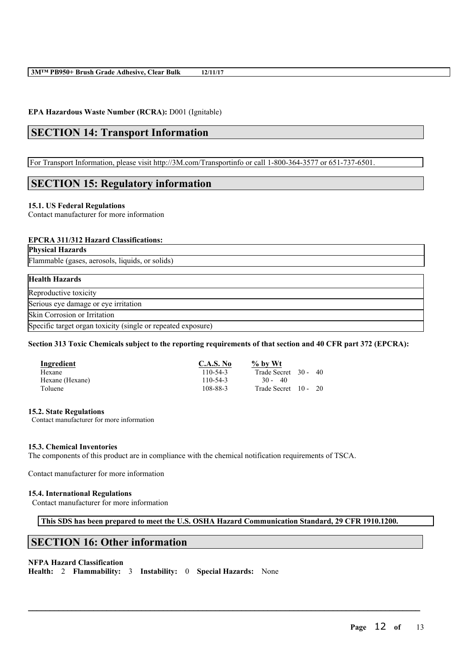## **EPA Hazardous Waste Number (RCRA):** D001 (Ignitable)

# **SECTION 14: Transport Information**

For Transport Information, please visit http://3M.com/Transportinfo or call 1-800-364-3577 or 651-737-6501.

# **SECTION 15: Regulatory information**

## **15.1. US Federal Regulations**

Contact manufacturer for more information

## **EPCRA 311/312 Hazard Classifications:**

**Physical Hazards**

Flammable (gases, aerosols, liquids, or solids)

## **Health Hazards**

Reproductive toxicity

Serious eye damage or eye irritation

Skin Corrosion or Irritation

Specific target organ toxicity (single or repeated exposure)

Section 313 Toxic Chemicals subject to the reporting requirements of that section and 40 CFR part 372 (EPCRA):

| <b>Ingredient</b> | <b>C.A.S. No</b> | $\%$ by Wt           |  |
|-------------------|------------------|----------------------|--|
| Hexane            | $110 - 54 - 3$   | Trade Secret 30 - 40 |  |
| Hexane (Hexane)   | 110-54-3         | $30 -$<br>- 40       |  |
| Toluene           | 108-88-3         | Trade Secret 10 - 20 |  |

## **15.2. State Regulations**

Contact manufacturer for more information

## **15.3. Chemical Inventories**

The components of this product are in compliance with the chemical notification requirements of TSCA.

Contact manufacturer for more information

## **15.4. International Regulations**

Contact manufacturer for more information

## **This SDS has been prepared to meet the U.S. OSHA Hazard Communication Standard, 29 CFR 1910.1200.**

 $\mathcal{L}_\mathcal{L} = \mathcal{L}_\mathcal{L} = \mathcal{L}_\mathcal{L} = \mathcal{L}_\mathcal{L} = \mathcal{L}_\mathcal{L} = \mathcal{L}_\mathcal{L} = \mathcal{L}_\mathcal{L} = \mathcal{L}_\mathcal{L} = \mathcal{L}_\mathcal{L} = \mathcal{L}_\mathcal{L} = \mathcal{L}_\mathcal{L} = \mathcal{L}_\mathcal{L} = \mathcal{L}_\mathcal{L} = \mathcal{L}_\mathcal{L} = \mathcal{L}_\mathcal{L} = \mathcal{L}_\mathcal{L} = \mathcal{L}_\mathcal{L}$ 

# **SECTION 16: Other information**

## **NFPA Hazard Classification**

**Health:** 2 **Flammability:** 3 **Instability:** 0 **Special Hazards:** None